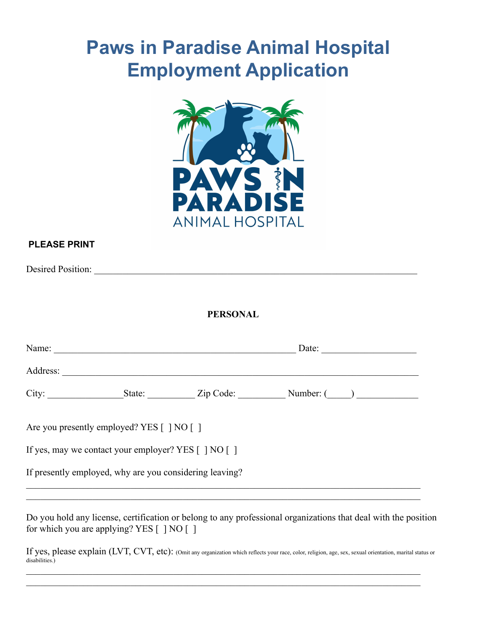# **Paws in Paradise Animal Hospital Employment Application**



### **PLEASE PRINT**

Desired Position: \_\_\_\_\_\_\_\_\_\_\_\_\_\_\_\_\_\_\_\_\_\_\_\_\_\_\_\_\_\_\_\_\_\_\_\_\_\_\_\_\_\_\_\_\_\_\_\_\_\_\_\_\_\_\_\_\_\_\_\_\_\_\_\_\_\_\_\_

**PERSONAL**

| Name:    |                                                         |  | Date: $\qquad \qquad$ |  |
|----------|---------------------------------------------------------|--|-----------------------|--|
| Address: |                                                         |  |                       |  |
|          |                                                         |  |                       |  |
|          | Are you presently employed? YES [ ] NO [ ]              |  |                       |  |
|          | If yes, may we contact your employer? YES [ ] NO [ ]    |  |                       |  |
|          | If presently employed, why are you considering leaving? |  |                       |  |
|          |                                                         |  |                       |  |

Do you hold any license, certification or belong to any professional organizations that deal with the position for which you are applying? YES  $\lceil \cdot \rceil$  NO  $\lceil \cdot \rceil$ 

If yes, please explain (LVT, CVT, etc): (Omit any organization which reflects your race, color, religion, age, sex, sexual orientation, marital status or disabilities.)  $\mathcal{L}_\mathcal{L} = \{ \mathcal{L}_\mathcal{L} = \{ \mathcal{L}_\mathcal{L} = \{ \mathcal{L}_\mathcal{L} = \{ \mathcal{L}_\mathcal{L} = \{ \mathcal{L}_\mathcal{L} = \{ \mathcal{L}_\mathcal{L} = \{ \mathcal{L}_\mathcal{L} = \{ \mathcal{L}_\mathcal{L} = \{ \mathcal{L}_\mathcal{L} = \{ \mathcal{L}_\mathcal{L} = \{ \mathcal{L}_\mathcal{L} = \{ \mathcal{L}_\mathcal{L} = \{ \mathcal{L}_\mathcal{L} = \{ \mathcal{L}_\mathcal{$ 

 $\mathcal{L}_\mathcal{L} = \{ \mathcal{L}_\mathcal{L} = \{ \mathcal{L}_\mathcal{L} = \{ \mathcal{L}_\mathcal{L} = \{ \mathcal{L}_\mathcal{L} = \{ \mathcal{L}_\mathcal{L} = \{ \mathcal{L}_\mathcal{L} = \{ \mathcal{L}_\mathcal{L} = \{ \mathcal{L}_\mathcal{L} = \{ \mathcal{L}_\mathcal{L} = \{ \mathcal{L}_\mathcal{L} = \{ \mathcal{L}_\mathcal{L} = \{ \mathcal{L}_\mathcal{L} = \{ \mathcal{L}_\mathcal{L} = \{ \mathcal{L}_\mathcal{$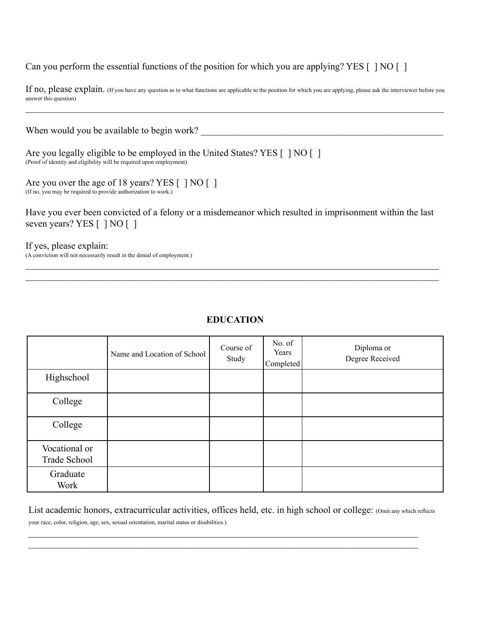Can you perform the essential functions of the position for which you are applying? YES [ ] NO [ ]

If no, please explain. (If you have any question as to what functions are applicable to the position for which you are applying, please ask the interviewer before you answer this question)  $\mathcal{L}_\mathcal{L} = \mathcal{L}_\mathcal{L} = \mathcal{L}_\mathcal{L} = \mathcal{L}_\mathcal{L} = \mathcal{L}_\mathcal{L} = \mathcal{L}_\mathcal{L} = \mathcal{L}_\mathcal{L} = \mathcal{L}_\mathcal{L} = \mathcal{L}_\mathcal{L} = \mathcal{L}_\mathcal{L} = \mathcal{L}_\mathcal{L} = \mathcal{L}_\mathcal{L} = \mathcal{L}_\mathcal{L} = \mathcal{L}_\mathcal{L} = \mathcal{L}_\mathcal{L} = \mathcal{L}_\mathcal{L} = \mathcal{L}_\mathcal{L}$ 

| When would you be available to begin work?                                                                                                           |
|------------------------------------------------------------------------------------------------------------------------------------------------------|
| Are you legally eligible to be employed in the United States? YES [ ] NO [ ]<br>(Proof of identity and eligibility will be required upon employment) |
| Are you over the age of 18 years? YES $\lceil$   NO $\lceil$  <br>(If no, you may be required to provide authorization to work.)                     |
| Have you ever been convicted of a felony or a misdemeanor which resulted in imprisonment within the last<br>seven years? YES [ ] NO [ ]              |

If yes, please explain: (A conviction will not necessarily result in the denial of employment.)

|                               | Name and Location of School | Course of<br>Study | No. of<br>Years<br>Completed | Diploma or<br>Degree Received |
|-------------------------------|-----------------------------|--------------------|------------------------------|-------------------------------|
| Highschool                    |                             |                    |                              |                               |
| College                       |                             |                    |                              |                               |
| College                       |                             |                    |                              |                               |
| Vocational or<br>Trade School |                             |                    |                              |                               |
| Graduate<br>Work              |                             |                    |                              |                               |

### **EDUCATION**

 $\mathcal{L}_\mathcal{L} = \{ \mathcal{L}_\mathcal{L} = \{ \mathcal{L}_\mathcal{L} = \{ \mathcal{L}_\mathcal{L} = \{ \mathcal{L}_\mathcal{L} = \{ \mathcal{L}_\mathcal{L} = \{ \mathcal{L}_\mathcal{L} = \{ \mathcal{L}_\mathcal{L} = \{ \mathcal{L}_\mathcal{L} = \{ \mathcal{L}_\mathcal{L} = \{ \mathcal{L}_\mathcal{L} = \{ \mathcal{L}_\mathcal{L} = \{ \mathcal{L}_\mathcal{L} = \{ \mathcal{L}_\mathcal{L} = \{ \mathcal{L}_\mathcal{$  $\mathcal{L}_\mathcal{L} = \{ \mathcal{L}_\mathcal{L} = \{ \mathcal{L}_\mathcal{L} = \{ \mathcal{L}_\mathcal{L} = \{ \mathcal{L}_\mathcal{L} = \{ \mathcal{L}_\mathcal{L} = \{ \mathcal{L}_\mathcal{L} = \{ \mathcal{L}_\mathcal{L} = \{ \mathcal{L}_\mathcal{L} = \{ \mathcal{L}_\mathcal{L} = \{ \mathcal{L}_\mathcal{L} = \{ \mathcal{L}_\mathcal{L} = \{ \mathcal{L}_\mathcal{L} = \{ \mathcal{L}_\mathcal{L} = \{ \mathcal{L}_\mathcal{$ 

List academic honors, extracurricular activities, offices held, etc. in high school or college: (Omit any which reflects your race, color, religion, age, sex, sexual orientation, marital status or disabilities.)

 $\mathcal{L}_\mathcal{L} = \{ \mathcal{L}_\mathcal{L} = \{ \mathcal{L}_\mathcal{L} = \{ \mathcal{L}_\mathcal{L} = \{ \mathcal{L}_\mathcal{L} = \{ \mathcal{L}_\mathcal{L} = \{ \mathcal{L}_\mathcal{L} = \{ \mathcal{L}_\mathcal{L} = \{ \mathcal{L}_\mathcal{L} = \{ \mathcal{L}_\mathcal{L} = \{ \mathcal{L}_\mathcal{L} = \{ \mathcal{L}_\mathcal{L} = \{ \mathcal{L}_\mathcal{L} = \{ \mathcal{L}_\mathcal{L} = \{ \mathcal{L}_\mathcal{$  $\mathcal{L}_\mathcal{L} = \{ \mathcal{L}_\mathcal{L} = \{ \mathcal{L}_\mathcal{L} = \{ \mathcal{L}_\mathcal{L} = \{ \mathcal{L}_\mathcal{L} = \{ \mathcal{L}_\mathcal{L} = \{ \mathcal{L}_\mathcal{L} = \{ \mathcal{L}_\mathcal{L} = \{ \mathcal{L}_\mathcal{L} = \{ \mathcal{L}_\mathcal{L} = \{ \mathcal{L}_\mathcal{L} = \{ \mathcal{L}_\mathcal{L} = \{ \mathcal{L}_\mathcal{L} = \{ \mathcal{L}_\mathcal{L} = \{ \mathcal{L}_\mathcal{$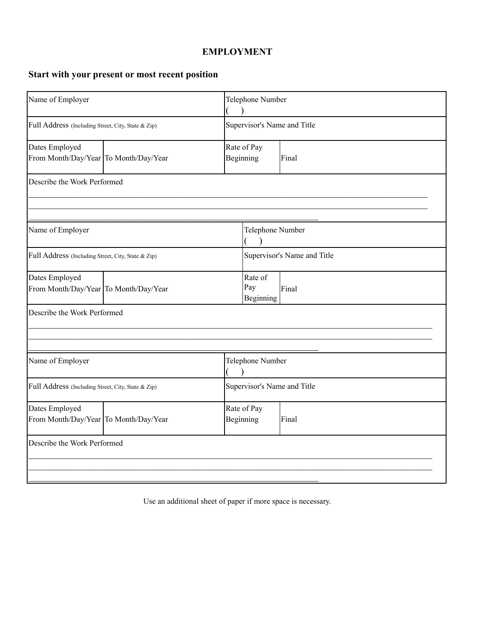## **EMPLOYMENT**

# **Start with your present or most recent position**

| Name of Employer                                        |                                       | Telephone Number         |                             |       |  |
|---------------------------------------------------------|---------------------------------------|--------------------------|-----------------------------|-------|--|
| Full Address (Including Street, City, State & Zip)      |                                       |                          | Supervisor's Name and Title |       |  |
| Dates Employed<br>From Month/Day/Year To Month/Day/Year |                                       | Rate of Pay<br>Beginning |                             | Final |  |
| Describe the Work Performed                             |                                       |                          |                             |       |  |
| Name of Employer                                        |                                       |                          | Telephone Number            |       |  |
| Full Address (Including Street, City, State & Zip)      |                                       |                          | Supervisor's Name and Title |       |  |
| Dates Employed                                          | From Month/Day/Year To Month/Day/Year |                          | Rate of<br>Pay<br>Beginning | Final |  |
| Describe the Work Performed                             |                                       |                          |                             |       |  |
| Name of Employer                                        |                                       |                          | Telephone Number            |       |  |
| Full Address (Including Street, City, State & Zip)      |                                       |                          | Supervisor's Name and Title |       |  |
| Dates Employed<br>From Month/Day/Year To Month/Day/Year |                                       |                          | Rate of Pay<br>Beginning    | Final |  |
| Describe the Work Performed                             |                                       |                          |                             |       |  |

Use an additional sheet of paper if more space is necessary.